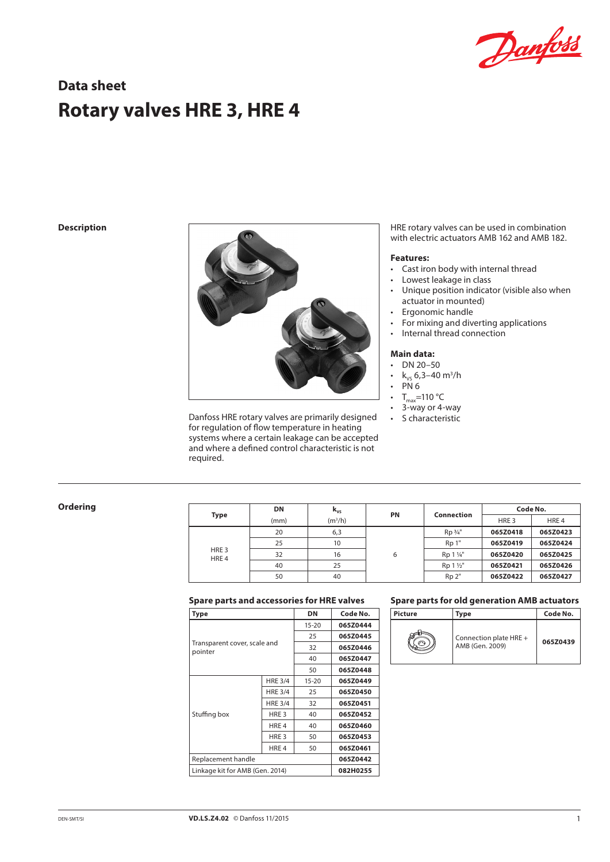

#### **Description**



Danfoss HRE rotary valves are primarily designed for regulation of flow temperature in heating systems where a certain leakage can be accepted and where a defined control characteristic is not required.

HRE rotary valves can be used in combination with electric actuators AMB 162 and AMB 182.

#### **Features:**

- Cast iron body with internal thread
- Lowest leakage in class
- Unique position indicator (visible also when actuator in mounted)
- Ergonomic handle
- For mixing and diverting applications
- Internal thread connection

#### **Main data:**

- DN 20–50
- $k_{vs}$  6,3–40 m<sup>3</sup>/h
- $\cdot$  PN 6
- $T_{\text{max}}$ =110 °C<br>• 3-way or 4-
- 3-way or 4-way
- S characteristic

#### **Ordering**

|                                      | <b>DN</b>                           | $k_{vs}$  |            |                           | Code No. |          |
|--------------------------------------|-------------------------------------|-----------|------------|---------------------------|----------|----------|
|                                      | Type<br>(m <sup>3</sup> /h)<br>(mm) | <b>PN</b> | Connection | HRE <sub>3</sub>          | HRE4     |          |
| HRE <sub>3</sub><br>HRE <sub>4</sub> | 20                                  | 6,3       | 6          | Rp 3/4"                   | 065Z0418 | 065Z0423 |
|                                      | 25                                  | 10        |            | Rp 1"                     | 065Z0419 | 065Z0424 |
|                                      | 32                                  | 16        |            | Rp 1 1/4"                 | 065Z0420 | 065Z0425 |
|                                      | 40                                  | 25        |            | $Rp 1 1$ / <sub>2</sub> " | 065Z0421 | 065Z0426 |
|                                      | 50                                  | 40        |            | Rp 2"                     | 065Z0422 | 065Z0427 |

#### **Spare parts and accessories for HRE valves**

| Type                                    | DN               | Code No.  |          |
|-----------------------------------------|------------------|-----------|----------|
|                                         |                  | $15 - 20$ | 065Z0444 |
|                                         | 25               | 065Z0445  |          |
| Transparent cover, scale and<br>pointer |                  | 32        | 065Z0446 |
|                                         |                  | 40        | 065Z0447 |
|                                         |                  | 50        | 065Z0448 |
|                                         | <b>HRE 3/4</b>   | $15 - 20$ | 065Z0449 |
|                                         | <b>HRE 3/4</b>   | 25        | 065Z0450 |
|                                         | <b>HRE 3/4</b>   | 32        | 065Z0451 |
| Stuffing box                            | HRE <sub>3</sub> | 40        | 065Z0452 |
|                                         | HRE <sub>4</sub> | 40        | 065Z0460 |
|                                         | HRE <sub>3</sub> | 50        | 065Z0453 |
|                                         | HRE <sub>4</sub> | 50        | 065Z0461 |
| Replacement handle                      |                  |           | 065Z0442 |
| Linkage kit for AMB (Gen. 2014)         | 082H0255         |           |          |

#### **Spare parts for old generation AMB actuators**

| Picture | ype                                       | Code No. |
|---------|-------------------------------------------|----------|
|         | Connection plate HRE +<br>AMB (Gen. 2009) | 065Z0439 |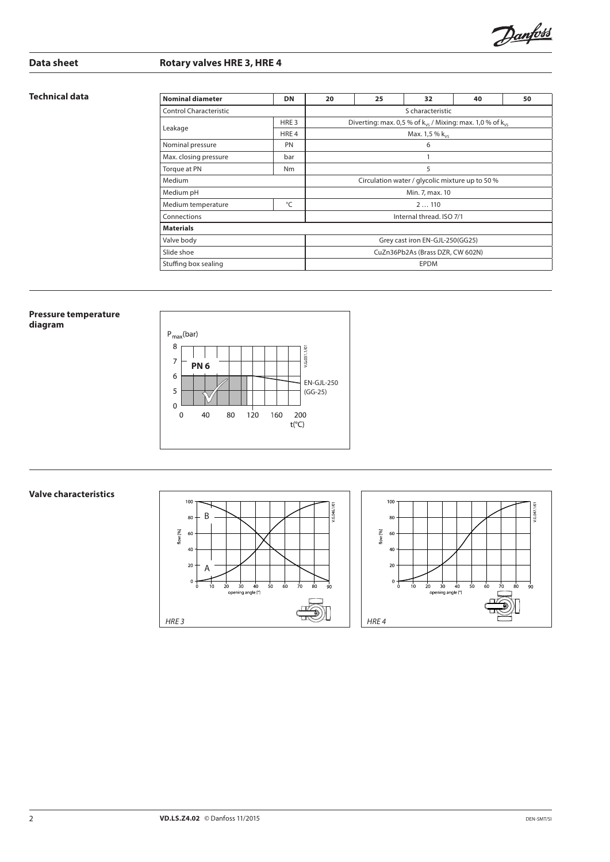

| <b>Nominal diameter</b>          | <b>DN</b>                        | 20                                                                               | 25 | 32 | 40 | 50 |  |
|----------------------------------|----------------------------------|----------------------------------------------------------------------------------|----|----|----|----|--|
| Control Characteristic           |                                  | S characteristic                                                                 |    |    |    |    |  |
|                                  | HRE <sub>3</sub>                 | Diverting: max. 0,5 % of $k_{\text{sc}}$ / Mixing: max. 1,0 % of $k_{\text{sc}}$ |    |    |    |    |  |
|                                  | HRE4                             | Max. 1,5 % $k_{vc}$                                                              |    |    |    |    |  |
| Nominal pressure                 | PN                               | 6                                                                                |    |    |    |    |  |
| Max. closing pressure            | bar                              |                                                                                  |    |    |    |    |  |
| Torque at PN                     | <b>Nm</b>                        | 5                                                                                |    |    |    |    |  |
| Medium                           |                                  | Circulation water / glycolic mixture up to 50 %                                  |    |    |    |    |  |
| Medium pH                        |                                  | Min. 7, max. 10                                                                  |    |    |    |    |  |
| °C<br>Medium temperature<br>2110 |                                  |                                                                                  |    |    |    |    |  |
| Connections                      | Internal thread, ISO 7/1         |                                                                                  |    |    |    |    |  |
| <b>Materials</b>                 |                                  |                                                                                  |    |    |    |    |  |
| Valve body                       |                                  | Grey cast iron EN-GJL-250(GG25)                                                  |    |    |    |    |  |
| Slide shoe                       | CuZn36Pb2As (Brass DZR, CW 602N) |                                                                                  |    |    |    |    |  |
| Stuffing box sealing             | <b>EPDM</b>                      |                                                                                  |    |    |    |    |  |
|                                  | Leakage                          |                                                                                  |    |    |    |    |  |

#### **Pressure temperature diagram**



#### **Valve characteristics**

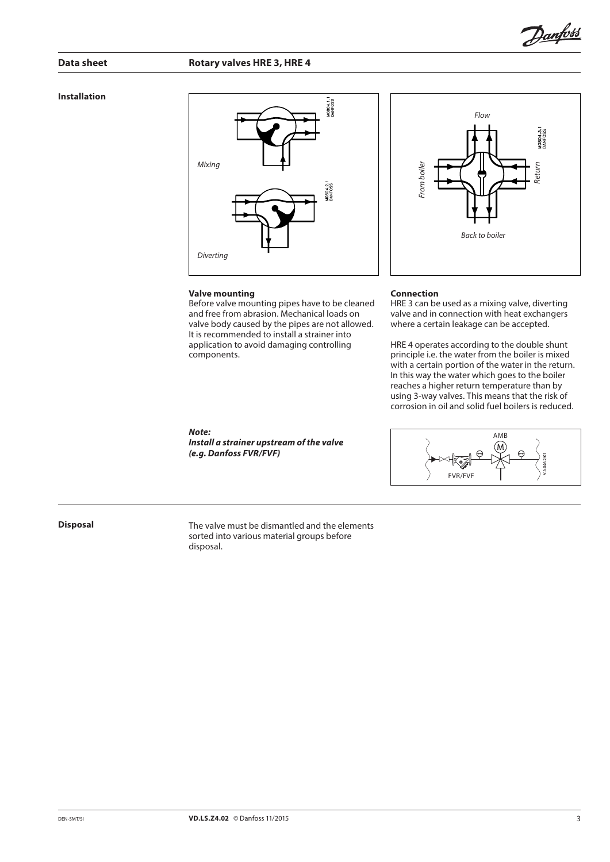

#### **Installation**



#### **Valve mounting**

Before valve mounting pipes have to be cleaned and free from abrasion. Mechanical loads on valve body caused by the pipes are not allowed. It is recommended to install a strainer into application to avoid damaging controlling components.

# *Flow* 0804.3.1<br>MHT055 *From boiler* From boiler *Return Back to boiler*

#### **Connection**

HRE 3 can be used as a mixing valve, diverting valve and in connection with heat exchangers where a certain leakage can be accepted.

HRE 4 operates according to the double shunt principle i.e. the water from the boiler is mixed with a certain portion of the water in the return. In this way the water which goes to the boiler reaches a higher return temperature than by using 3-way valves. This means that the risk of corrosion in oil and solid fuel boilers is reduced.

*Note: Install a strainer upstream of the valve (e.g. Danfoss FVR/FVF)*



#### **Disposal**

The valve must be dismantled and the elements sorted into various material groups before disposal.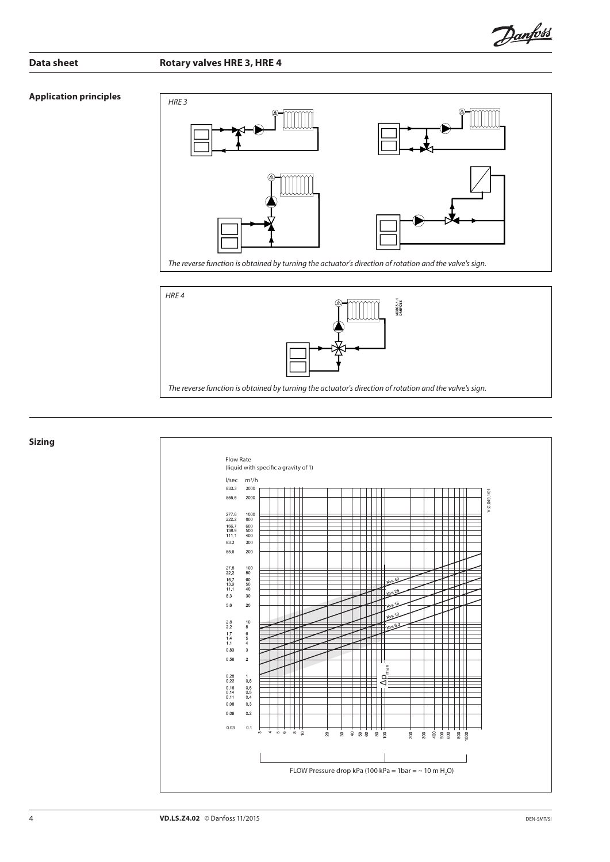Danfoss

## Application principles *HRE 3*







## **Sizing**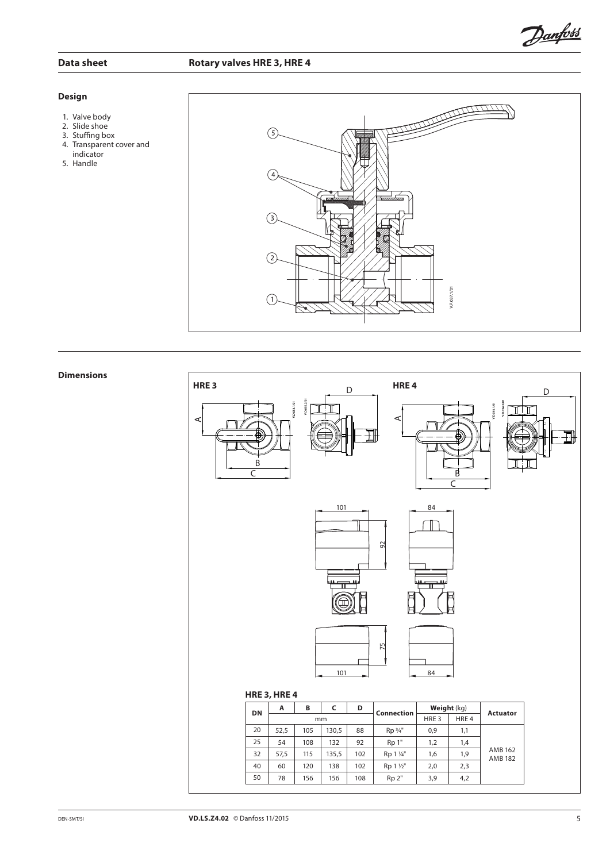Danfoss

## **Design**

- 1. Valve body
- 2. Slide shoe
- 3. Stuffing box
- 4. Transparent cover and indicator
- 5. Handle



#### **Dimensions**

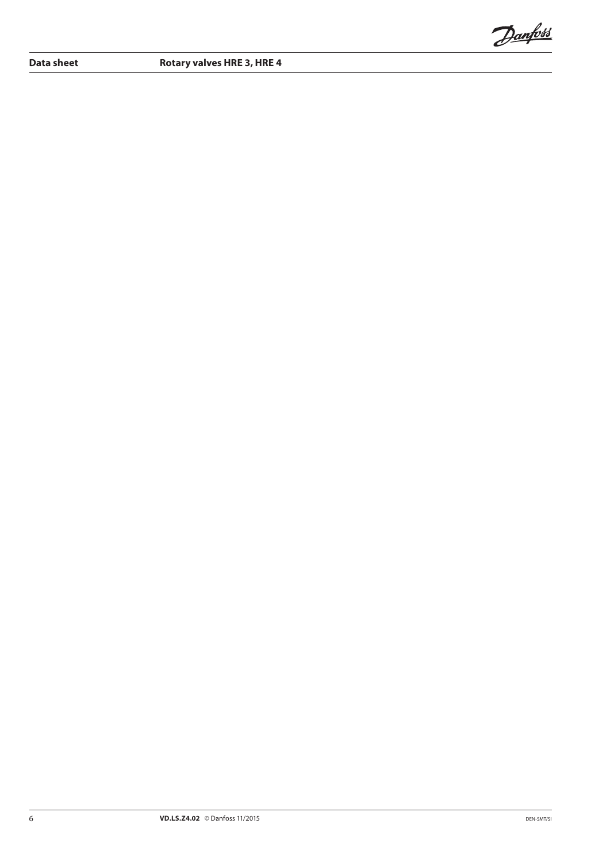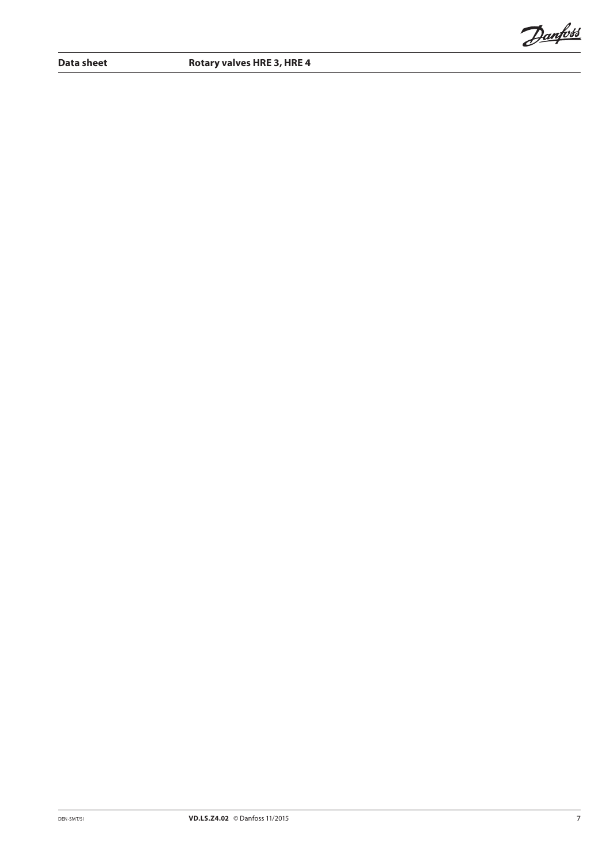Danfoss